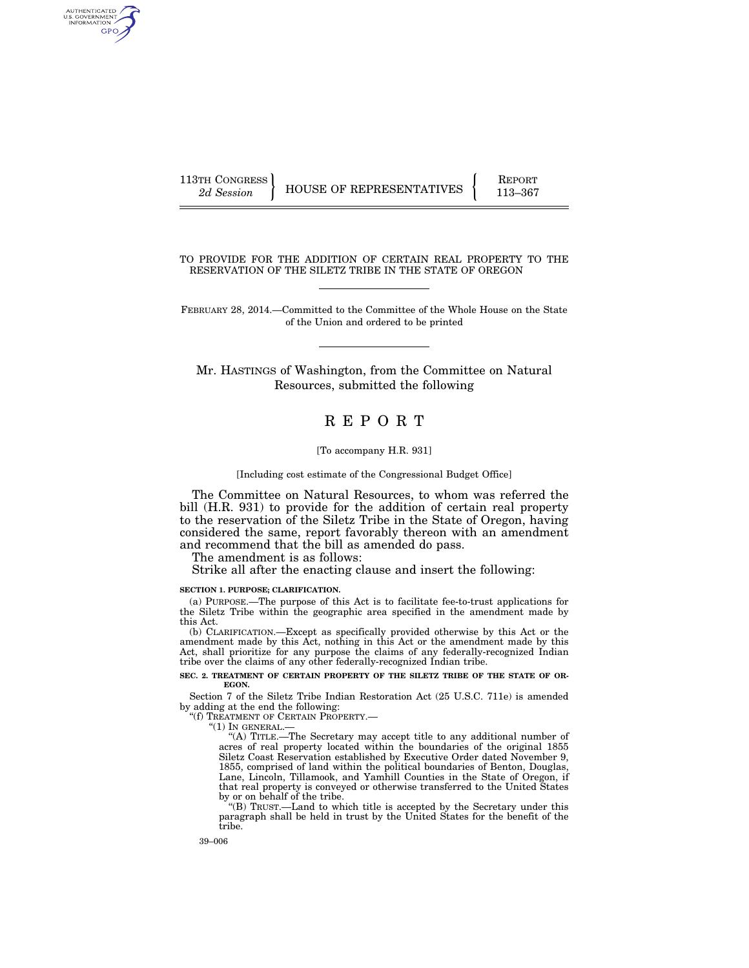AUTHENTICATED<br>U.S. GOVERNMENT<br>INFORMATION GPO

113TH CONGRESS HOUSE OF REPRESENTATIVES FEPORT 113–367

TO PROVIDE FOR THE ADDITION OF CERTAIN REAL PROPERTY TO THE RESERVATION OF THE SILETZ TRIBE IN THE STATE OF OREGON

FEBRUARY 28, 2014.—Committed to the Committee of the Whole House on the State of the Union and ordered to be printed

Mr. HASTINGS of Washington, from the Committee on Natural Resources, submitted the following

# R E P O R T

#### [To accompany H.R. 931]

#### [Including cost estimate of the Congressional Budget Office]

The Committee on Natural Resources, to whom was referred the bill (H.R. 931) to provide for the addition of certain real property to the reservation of the Siletz Tribe in the State of Oregon, having considered the same, report favorably thereon with an amendment and recommend that the bill as amended do pass.

The amendment is as follows:

Strike all after the enacting clause and insert the following:

#### **SECTION 1. PURPOSE; CLARIFICATION.**

(a) PURPOSE.—The purpose of this Act is to facilitate fee-to-trust applications for the Siletz Tribe within the geographic area specified in the amendment made by this Act.

(b) CLARIFICATION.—Except as specifically provided otherwise by this Act or the amendment made by this Act, nothing in this Act or the amendment made by this Act, shall prioritize for any purpose the claims of any federally-recognized Indian tribe over the claims of any other federally-recognized Indian tribe.

#### **SEC. 2. TREATMENT OF CERTAIN PROPERTY OF THE SILETZ TRIBE OF THE STATE OF OR-EGON.**

Section 7 of the Siletz Tribe Indian Restoration Act (25 U.S.C. 711e) is amended by adding at the end the following:

''(f) TREATMENT OF CERTAIN PROPERTY.—

" $(1)$  In general.—

''(A) TITLE.—The Secretary may accept title to any additional number of acres of real property located within the boundaries of the original 1855 Siletz Coast Reservation established by Executive Order dated November 9, 1855, comprised of land within the political boundaries of Benton, Douglas, Lane, Lincoln, Tillamook, and Yamhill Counties in the State of Oregon, if that real property is conveyed or otherwise transferred to the United States by or on behalf of the tribe.

''(B) TRUST.—Land to which title is accepted by the Secretary under this paragraph shall be held in trust by the United States for the benefit of the tribe.

39–006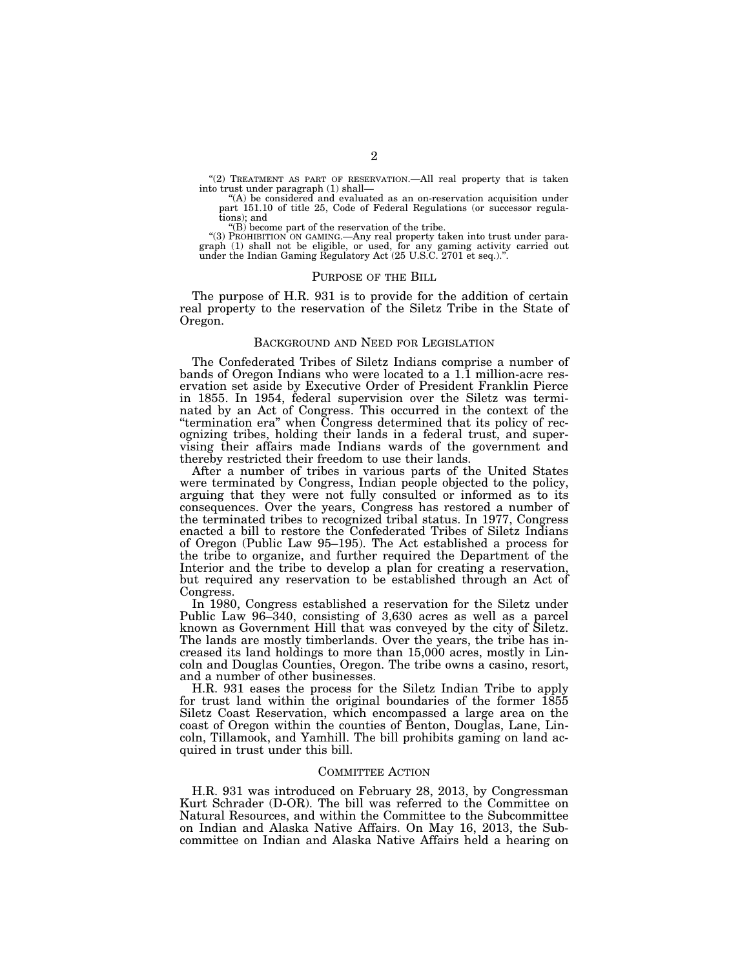"(2) TREATMENT AS PART OF RESERVATION.—All real property that is taken into trust under paragraph (1) shall—

''(A) be considered and evaluated as an on-reservation acquisition under part 151.10 of title 25, Code of Federal Regulations (or successor regulations); and

 $f(B)$  become part of the reservation of the tribe.

"(3) PROHIBITION ON GAMING.—Any real property taken into trust under paragraph (1) shall not be eligible, or used, for any gaming activity carried out under the Indian Gaming Regulatory Act (25 U.S.C. 2701 et seq.).''.

#### PURPOSE OF THE BILL

The purpose of H.R. 931 is to provide for the addition of certain real property to the reservation of the Siletz Tribe in the State of Oregon.

### BACKGROUND AND NEED FOR LEGISLATION

The Confederated Tribes of Siletz Indians comprise a number of bands of Oregon Indians who were located to a 1.1 million-acre reservation set aside by Executive Order of President Franklin Pierce in 1855. In 1954, federal supervision over the Siletz was terminated by an Act of Congress. This occurred in the context of the ''termination era'' when Congress determined that its policy of recognizing tribes, holding their lands in a federal trust, and supervising their affairs made Indians wards of the government and thereby restricted their freedom to use their lands.

After a number of tribes in various parts of the United States were terminated by Congress, Indian people objected to the policy, arguing that they were not fully consulted or informed as to its consequences. Over the years, Congress has restored a number of the terminated tribes to recognized tribal status. In 1977, Congress enacted a bill to restore the Confederated Tribes of Siletz Indians of Oregon (Public Law 95–195). The Act established a process for the tribe to organize, and further required the Department of the Interior and the tribe to develop a plan for creating a reservation, but required any reservation to be established through an Act of Congress.

In 1980, Congress established a reservation for the Siletz under Public Law 96–340, consisting of 3,630 acres as well as a parcel known as Government Hill that was conveyed by the city of Siletz. The lands are mostly timberlands. Over the years, the tribe has increased its land holdings to more than 15,000 acres, mostly in Lincoln and Douglas Counties, Oregon. The tribe owns a casino, resort, and a number of other businesses.

H.R. 931 eases the process for the Siletz Indian Tribe to apply for trust land within the original boundaries of the former  $1855$ Siletz Coast Reservation, which encompassed a large area on the coast of Oregon within the counties of Benton, Douglas, Lane, Lincoln, Tillamook, and Yamhill. The bill prohibits gaming on land acquired in trust under this bill.

### COMMITTEE ACTION

H.R. 931 was introduced on February 28, 2013, by Congressman Kurt Schrader (D-OR). The bill was referred to the Committee on Natural Resources, and within the Committee to the Subcommittee on Indian and Alaska Native Affairs. On May 16, 2013, the Subcommittee on Indian and Alaska Native Affairs held a hearing on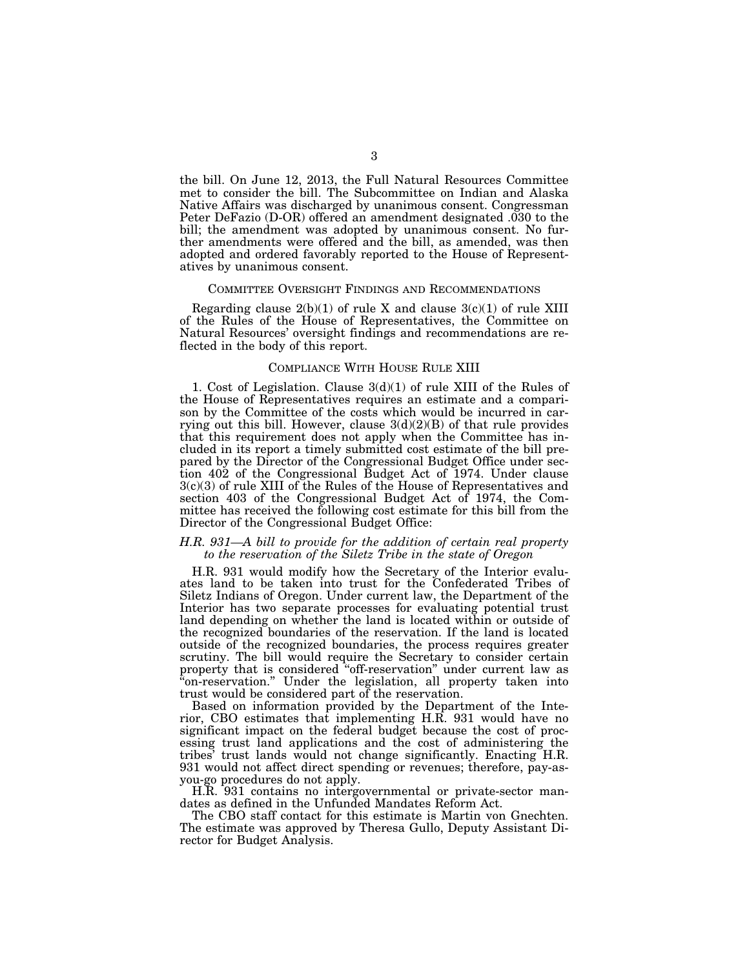the bill. On June 12, 2013, the Full Natural Resources Committee met to consider the bill. The Subcommittee on Indian and Alaska Native Affairs was discharged by unanimous consent. Congressman Peter DeFazio (D-OR) offered an amendment designated .030 to the bill; the amendment was adopted by unanimous consent. No further amendments were offered and the bill, as amended, was then adopted and ordered favorably reported to the House of Representatives by unanimous consent.

### COMMITTEE OVERSIGHT FINDINGS AND RECOMMENDATIONS

Regarding clause  $2(b)(1)$  of rule X and clause  $3(c)(1)$  of rule XIII of the Rules of the House of Representatives, the Committee on Natural Resources' oversight findings and recommendations are reflected in the body of this report.

#### COMPLIANCE WITH HOUSE RULE XIII

1. Cost of Legislation. Clause 3(d)(1) of rule XIII of the Rules of the House of Representatives requires an estimate and a comparison by the Committee of the costs which would be incurred in carrying out this bill. However, clause  $3(d)(2)(B)$  of that rule provides that this requirement does not apply when the Committee has included in its report a timely submitted cost estimate of the bill prepared by the Director of the Congressional Budget Office under section 402 of the Congressional Budget Act of 1974. Under clause 3(c)(3) of rule XIII of the Rules of the House of Representatives and section 403 of the Congressional Budget Act of 1974, the Committee has received the following cost estimate for this bill from the Director of the Congressional Budget Office:

## *H.R. 931—A bill to provide for the addition of certain real property to the reservation of the Siletz Tribe in the state of Oregon*

H.R. 931 would modify how the Secretary of the Interior evaluates land to be taken into trust for the Confederated Tribes of Siletz Indians of Oregon. Under current law, the Department of the Interior has two separate processes for evaluating potential trust land depending on whether the land is located within or outside of the recognized boundaries of the reservation. If the land is located outside of the recognized boundaries, the process requires greater scrutiny. The bill would require the Secretary to consider certain property that is considered ''off-reservation'' under current law as "on-reservation." Under the legislation, all property taken into trust would be considered part of the reservation.

Based on information provided by the Department of the Interior, CBO estimates that implementing H.R. 931 would have no significant impact on the federal budget because the cost of processing trust land applications and the cost of administering the tribes' trust lands would not change significantly. Enacting H.R. 931 would not affect direct spending or revenues; therefore, pay-asyou-go procedures do not apply.

H.R. 931 contains no intergovernmental or private-sector mandates as defined in the Unfunded Mandates Reform Act.

The CBO staff contact for this estimate is Martin von Gnechten. The estimate was approved by Theresa Gullo, Deputy Assistant Director for Budget Analysis.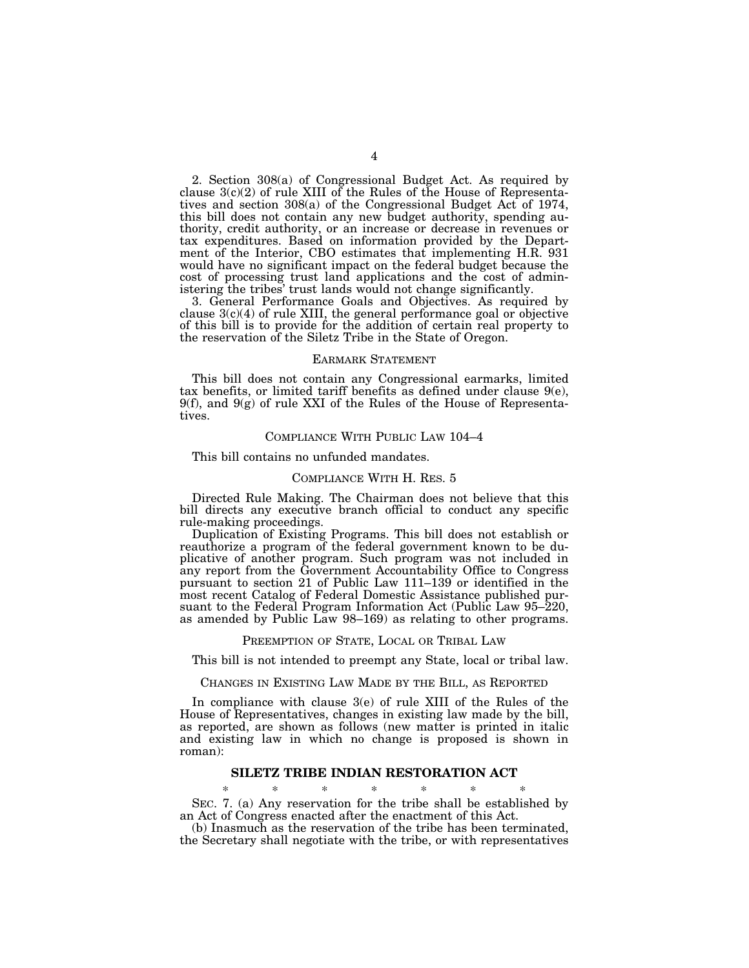2. Section 308(a) of Congressional Budget Act. As required by clause 3(c)(2) of rule XIII of the Rules of the House of Representatives and section 308(a) of the Congressional Budget Act of 1974, this bill does not contain any new budget authority, spending authority, credit authority, or an increase or decrease in revenues or tax expenditures. Based on information provided by the Department of the Interior, CBO estimates that implementing H.R. 931 would have no significant impact on the federal budget because the cost of processing trust land applications and the cost of administering the tribes' trust lands would not change significantly.

3. General Performance Goals and Objectives. As required by clause 3(c)(4) of rule XIII, the general performance goal or objective of this bill is to provide for the addition of certain real property to the reservation of the Siletz Tribe in the State of Oregon.

### EARMARK STATEMENT

This bill does not contain any Congressional earmarks, limited tax benefits, or limited tariff benefits as defined under clause 9(e),  $9(f)$ , and  $9(g)$  of rule XXI of the Rules of the House of Representatives.

## COMPLIANCE WITH PUBLIC LAW 104–4

This bill contains no unfunded mandates.

## COMPLIANCE WITH H. RES. 5

Directed Rule Making. The Chairman does not believe that this bill directs any executive branch official to conduct any specific rule-making proceedings.

Duplication of Existing Programs. This bill does not establish or reauthorize a program of the federal government known to be duplicative of another program. Such program was not included in any report from the Government Accountability Office to Congress pursuant to section 21 of Public Law 111–139 or identified in the most recent Catalog of Federal Domestic Assistance published pursuant to the Federal Program Information Act (Public Law 95–220, as amended by Public Law 98–169) as relating to other programs.

#### PREEMPTION OF STATE, LOCAL OR TRIBAL LAW

This bill is not intended to preempt any State, local or tribal law.

CHANGES IN EXISTING LAW MADE BY THE BILL, AS REPORTED

In compliance with clause 3(e) of rule XIII of the Rules of the House of Representatives, changes in existing law made by the bill, as reported, are shown as follows (new matter is printed in italic and existing law in which no change is proposed is shown in roman):

## **SILETZ TRIBE INDIAN RESTORATION ACT**

\* \* \* \* \* \* \* SEC. 7. (a) Any reservation for the tribe shall be established by an Act of Congress enacted after the enactment of this Act.

(b) Inasmuch as the reservation of the tribe has been terminated, the Secretary shall negotiate with the tribe, or with representatives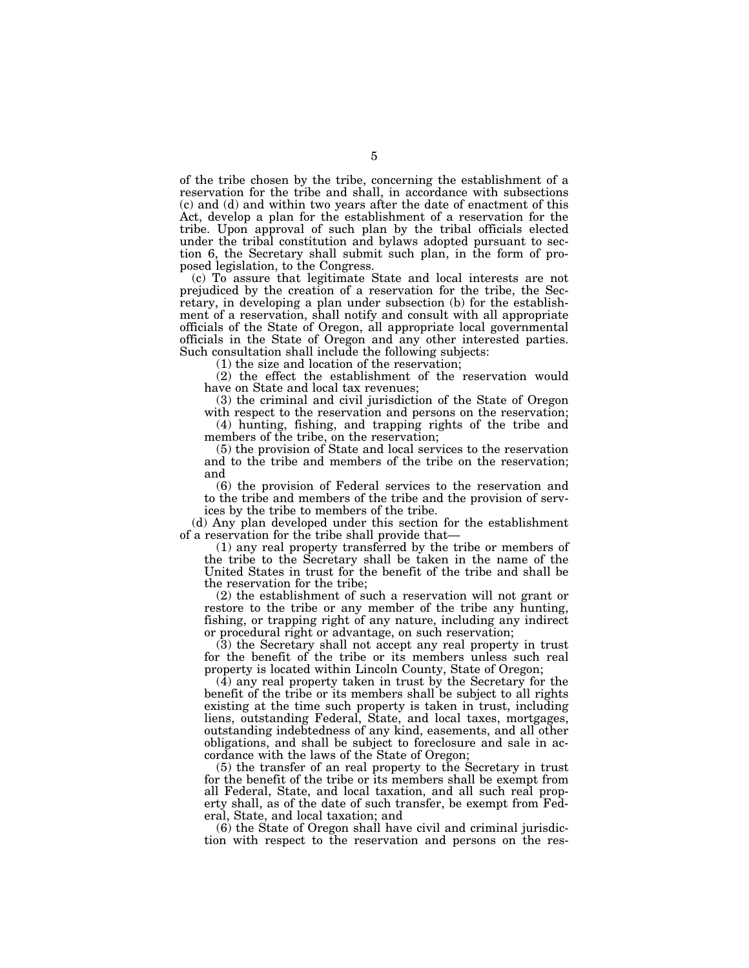of the tribe chosen by the tribe, concerning the establishment of a reservation for the tribe and shall, in accordance with subsections (c) and (d) and within two years after the date of enactment of this Act, develop a plan for the establishment of a reservation for the tribe. Upon approval of such plan by the tribal officials elected under the tribal constitution and bylaws adopted pursuant to section 6, the Secretary shall submit such plan, in the form of proposed legislation, to the Congress.

(c) To assure that legitimate State and local interests are not prejudiced by the creation of a reservation for the tribe, the Secretary, in developing a plan under subsection (b) for the establishment of a reservation, shall notify and consult with all appropriate officials of the State of Oregon, all appropriate local governmental officials in the State of Oregon and any other interested parties. Such consultation shall include the following subjects:

(1) the size and location of the reservation;

(2) the effect the establishment of the reservation would have on State and local tax revenues;

(3) the criminal and civil jurisdiction of the State of Oregon with respect to the reservation and persons on the reservation;

(4) hunting, fishing, and trapping rights of the tribe and members of the tribe, on the reservation;

(5) the provision of State and local services to the reservation and to the tribe and members of the tribe on the reservation; and

(6) the provision of Federal services to the reservation and to the tribe and members of the tribe and the provision of services by the tribe to members of the tribe.

(d) Any plan developed under this section for the establishment of a reservation for the tribe shall provide that—

(1) any real property transferred by the tribe or members of the tribe to the Secretary shall be taken in the name of the United States in trust for the benefit of the tribe and shall be the reservation for the tribe;

(2) the establishment of such a reservation will not grant or restore to the tribe or any member of the tribe any hunting, fishing, or trapping right of any nature, including any indirect or procedural right or advantage, on such reservation;

(3) the Secretary shall not accept any real property in trust for the benefit of the tribe or its members unless such real property is located within Lincoln County, State of Oregon;

(4) any real property taken in trust by the Secretary for the benefit of the tribe or its members shall be subject to all rights existing at the time such property is taken in trust, including liens, outstanding Federal, State, and local taxes, mortgages, outstanding indebtedness of any kind, easements, and all other obligations, and shall be subject to foreclosure and sale in accordance with the laws of the State of Oregon;

(5) the transfer of an real property to the Secretary in trust for the benefit of the tribe or its members shall be exempt from all Federal, State, and local taxation, and all such real property shall, as of the date of such transfer, be exempt from Federal, State, and local taxation; and

(6) the State of Oregon shall have civil and criminal jurisdiction with respect to the reservation and persons on the res-